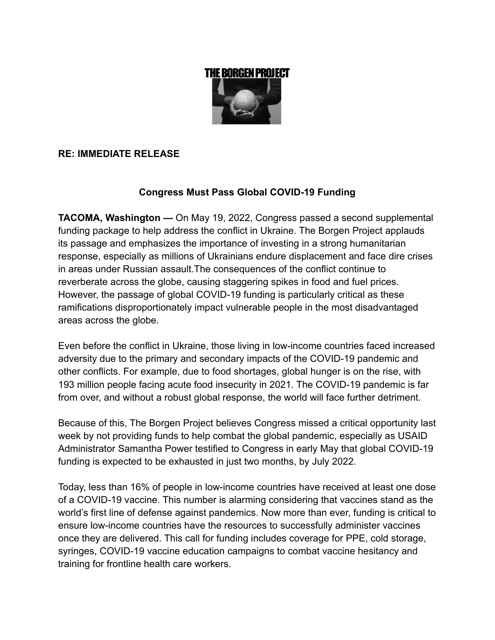

## **RE: IMMEDIATE RELEASE**

# **Congress Must Pass Global COVID-19 Funding**

**TACOMA, Washington —** On May 19, 2022, Congress passed a second supplemental funding package to help address the conflict in Ukraine. The Borgen Project applauds its passage and emphasizes the importance of investing in a strong humanitarian response, especially as millions of Ukrainians endure displacement and face dire crises in areas under Russian assault.The consequences of the conflict continue to reverberate across the globe, causing staggering spikes in food and fuel prices. However, the passage of global COVID-19 funding is particularly critical as these ramifications disproportionately impact vulnerable people in the most disadvantaged areas across the globe.

Even before the conflict in Ukraine, those living in low-income countries faced increased adversity due to the primary and secondary impacts of the COVID-19 pandemic and other conflicts. For example, due to food shortages, global hunger is on the rise, with 193 million people facing acute food insecurity in 2021. The COVID-19 pandemic is far from over, and without a robust global response, the world will face further detriment.

Because of this, The Borgen Project believes Congress missed a critical opportunity last week by not providing funds to help combat the global pandemic, especially as USAID Administrator Samantha Power testified to Congress in early May that global COVID-19 funding is expected to be exhausted in just two months, by July 2022.

Today, less than 16% of people in low-income countries have received at least one dose of a COVID-19 vaccine. This number is alarming considering that vaccines stand as the world's first line of defense against pandemics. Now more than ever, funding is critical to ensure low-income countries have the resources to successfully administer vaccines once they are delivered. This call for funding includes coverage for PPE, cold storage, syringes, COVID-19 vaccine education campaigns to combat vaccine hesitancy and training for frontline health care workers.